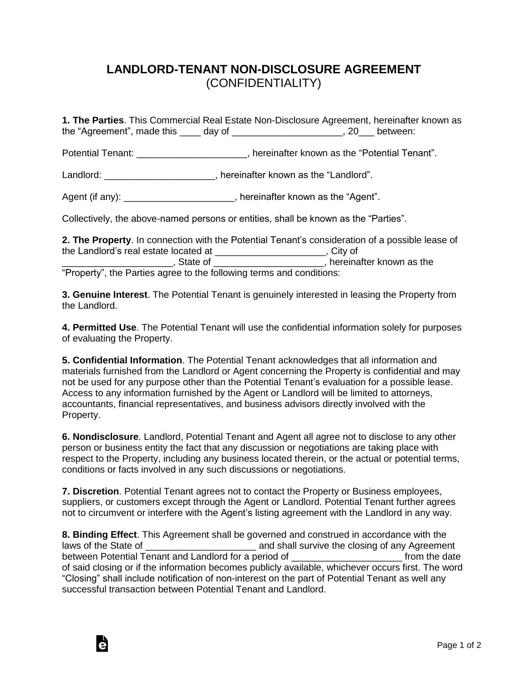## **LANDLORD-TENANT NON-DISCLOSURE AGREEMENT** (CONFIDENTIALITY)

**1. The Parties**. This Commercial Real Estate Non-Disclosure Agreement, hereinafter known as the "Agreement", made this \_\_\_\_ day of \_\_\_\_\_\_\_\_\_\_\_\_\_\_\_\_\_\_\_\_\_, 20\_\_\_ between:

Potential Tenant: \_\_\_\_\_\_\_\_\_\_\_\_\_\_\_\_\_\_\_\_\_\_, hereinafter known as the "Potential Tenant".

Landlord: \_\_\_\_\_\_\_\_\_\_\_\_\_\_\_\_\_\_\_\_\_, hereinafter known as the "Landlord".

Agent (if any):  $\blacksquare$ , hereinafter known as the "Agent".

Collectively, the above-named persons or entities, shall be known as the "Parties".

**2. The Property**. In connection with the Potential Tenant's consideration of a possible lease of the Landlord's real estate located at \_\_\_\_\_\_\_\_\_\_\_\_\_\_\_\_\_\_\_\_\_, City of \_\_\_\_\_\_\_\_\_\_\_\_\_\_\_\_\_\_\_\_\_, State of \_\_\_\_\_\_\_\_\_\_\_\_\_\_\_\_\_\_\_\_\_, hereinafter known as the "Property", the Parties agree to the following terms and conditions:

**3. Genuine Interest**. The Potential Tenant is genuinely interested in leasing the Property from the Landlord.

**4. Permitted Use**. The Potential Tenant will use the confidential information solely for purposes of evaluating the Property.

**5. Confidential Information**. The Potential Tenant acknowledges that all information and materials furnished from the Landlord or Agent concerning the Property is confidential and may not be used for any purpose other than the Potential Tenant's evaluation for a possible lease. Access to any information furnished by the Agent or Landlord will be limited to attorneys, accountants, financial representatives, and business advisors directly involved with the Property.

**6. Nondisclosure**. Landlord, Potential Tenant and Agent all agree not to disclose to any other person or business entity the fact that any discussion or negotiations are taking place with respect to the Property, including any business located therein, or the actual or potential terms, conditions or facts involved in any such discussions or negotiations.

**7. Discretion**. Potential Tenant agrees not to contact the Property or Business employees, suppliers, or customers except through the Agent or Landlord. Potential Tenant further agrees not to circumvent or interfere with the Agent's listing agreement with the Landlord in any way.

**8. Binding Effect**. This Agreement shall be governed and construed in accordance with the laws of the State of **Exercise 20** and shall survive the closing of any Agreement between Potential Tenant and Landlord for a period of \_\_\_\_\_\_\_\_\_\_\_\_\_\_\_\_\_\_\_\_\_\_\_\_\_\_ from the date of said closing or if the information becomes publicly available, whichever occurs first. The word "Closing" shall include notification of non-interest on the part of Potential Tenant as well any successful transaction between Potential Tenant and Landlord.